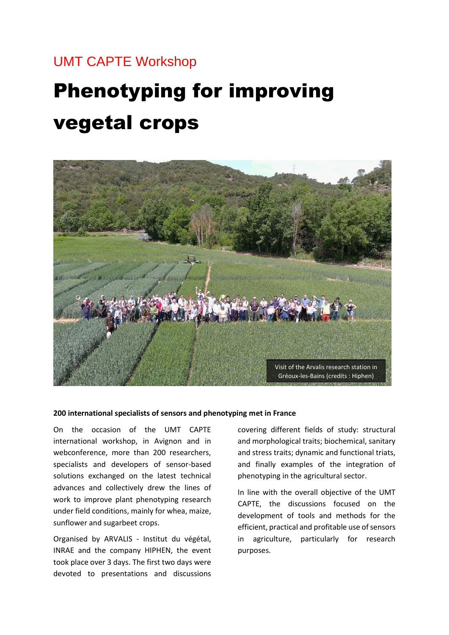# UMT CAPTE Workshop

# Phenotyping for improving vegetal crops



#### **200 international specialists of sensors and phenotyping met in France**

On the occasion of the UMT CAPTE international workshop, in Avignon and in webconference, more than 200 researchers, specialists and developers of sensor-based solutions exchanged on the latest technical advances and collectively drew the lines of work to improve plant phenotyping research under field conditions, mainly for whea, maize, sunflower and sugarbeet crops.

Organised by ARVALIS - Institut du végétal, INRAE and the company HIPHEN, the event took place over 3 days. The first two days were devoted to presentations and discussions

covering different fields of study: structural and morphological traits; biochemical, sanitary and stress traits; dynamic and functional triats, and finally examples of the integration of phenotyping in the agricultural sector.

In line with the overall objective of the UMT CAPTE, the discussions focused on the development of tools and methods for the efficient, practical and profitable use of sensors in agriculture, particularly for research purposes.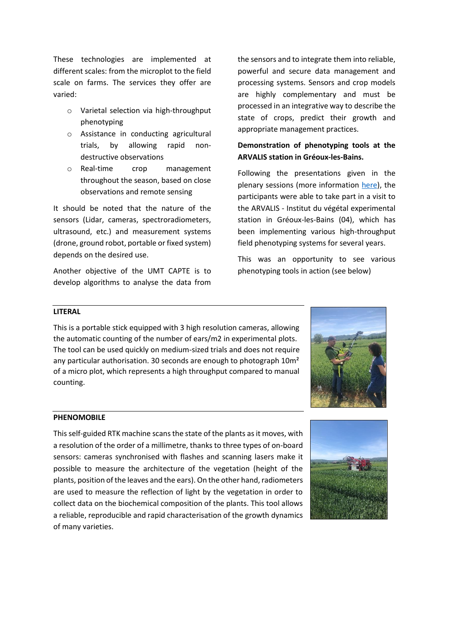These technologies are implemented at different scales: from the microplot to the field scale on farms. The services they offer are varied:

- o Varietal selection via high-throughput phenotyping
- o Assistance in conducting agricultural trials, by allowing rapid nondestructive observations
- o Real-time crop management throughout the season, based on close observations and remote sensing

It should be noted that the nature of the sensors (Lidar, cameras, spectroradiometers, ultrasound, etc.) and measurement systems (drone, ground robot, portable or fixed system) depends on the desired use.

Another objective of the UMT CAPTE is to develop algorithms to analyse the data from

the sensors and to integrate them into reliable, powerful and secure data management and processing systems. Sensors and crop models are highly complementary and must be processed in an integrative way to describe the state of crops, predict their growth and appropriate management practices.

## **Demonstration of phenotyping tools at the ARVALIS station in Gréoux-les-Bains.**

Following the presentations given in the plenary sessions (more information [here\)](https://www.capte-workshop.com/agenda/), the participants were able to take part in a visit to the ARVALIS - Institut du végétal experimental station in Gréoux-les-Bains (04), which has been implementing various high-throughput field phenotyping systems for several years.

This was an opportunity to see various phenotyping tools in action (see below)

#### **LITERAL**

This is a portable stick equipped with 3 high resolution cameras, allowing the automatic counting of the number of ears/m2 in experimental plots. The tool can be used quickly on medium-sized trials and does not require any particular authorisation. 30 seconds are enough to photograph 10m<sup>2</sup> of a micro plot, which represents a high throughput compared to manual counting.



#### **PHENOMOBILE**

This self-guided RTK machine scans the state of the plants as it moves, with a resolution of the order of a millimetre, thanks to three types of on-board sensors: cameras synchronised with flashes and scanning lasers make it possible to measure the architecture of the vegetation (height of the plants, position of the leaves and the ears). On the other hand, radiometers are used to measure the reflection of light by the vegetation in order to collect data on the biochemical composition of the plants. This tool allows a reliable, reproducible and rapid characterisation of the growth dynamics of many varieties.